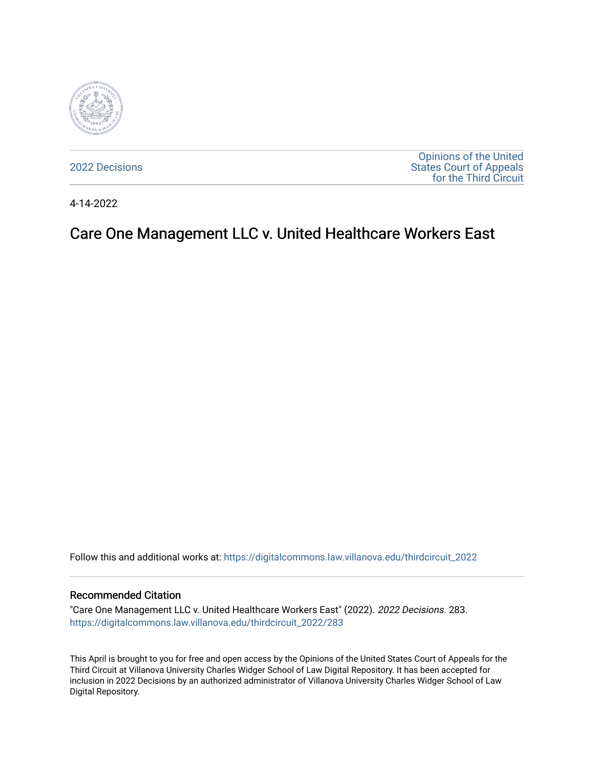

[2022 Decisions](https://digitalcommons.law.villanova.edu/thirdcircuit_2022)

[Opinions of the United](https://digitalcommons.law.villanova.edu/thirdcircuit)  [States Court of Appeals](https://digitalcommons.law.villanova.edu/thirdcircuit)  [for the Third Circuit](https://digitalcommons.law.villanova.edu/thirdcircuit) 

4-14-2022

## Care One Management LLC v. United Healthcare Workers East

Follow this and additional works at: [https://digitalcommons.law.villanova.edu/thirdcircuit\\_2022](https://digitalcommons.law.villanova.edu/thirdcircuit_2022?utm_source=digitalcommons.law.villanova.edu%2Fthirdcircuit_2022%2F283&utm_medium=PDF&utm_campaign=PDFCoverPages) 

## Recommended Citation

"Care One Management LLC v. United Healthcare Workers East" (2022). 2022 Decisions. 283. [https://digitalcommons.law.villanova.edu/thirdcircuit\\_2022/283](https://digitalcommons.law.villanova.edu/thirdcircuit_2022/283?utm_source=digitalcommons.law.villanova.edu%2Fthirdcircuit_2022%2F283&utm_medium=PDF&utm_campaign=PDFCoverPages)

This April is brought to you for free and open access by the Opinions of the United States Court of Appeals for the Third Circuit at Villanova University Charles Widger School of Law Digital Repository. It has been accepted for inclusion in 2022 Decisions by an authorized administrator of Villanova University Charles Widger School of Law Digital Repository.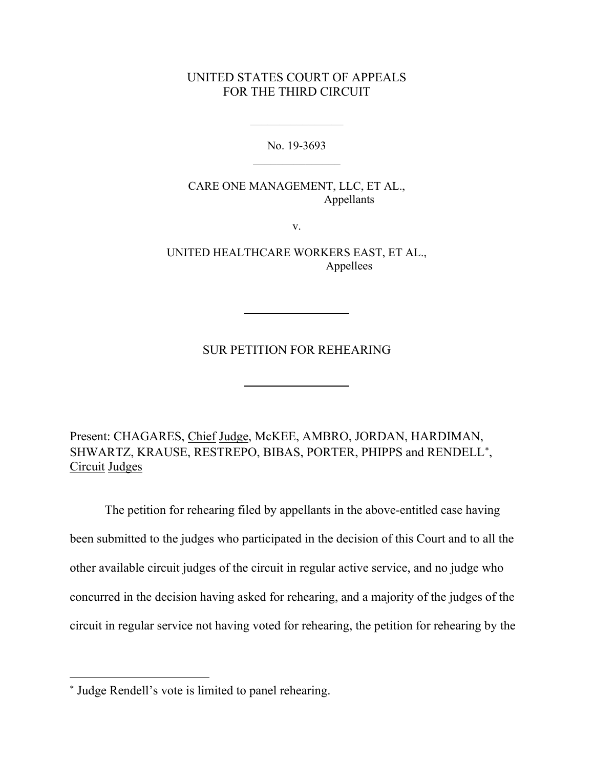## UNITED STATES COURT OF APPEALS FOR THE THIRD CIRCUIT

No. 19-3693  $\mathcal{L}_\text{max}$  . The set of the set of the set of the set of the set of the set of the set of the set of the set of the set of the set of the set of the set of the set of the set of the set of the set of the set of the set

 $\mathcal{L}_\text{max}$  . The set of the set of the set of the set of the set of the set of the set of the set of the set of the set of the set of the set of the set of the set of the set of the set of the set of the set of the set

CARE ONE MANAGEMENT, LLC, ET AL., Appellants

v.

UNITED HEALTHCARE WORKERS EAST, ET AL., Appellees

SUR PETITION FOR REHEARING

Present: CHAGARES, Chief Judge, McKEE, AMBRO, JORDAN, HARDIMAN, SHWARTZ, KRAUSE, RESTREPO, BIBAS, PORTER, PHIPPS and RENDELL<sup>\*</sup>, Circuit Judges

The petition for rehearing filed by appellants in the above-entitled case having been submitted to the judges who participated in the decision of this Court and to all the other available circuit judges of the circuit in regular active service, and no judge who concurred in the decision having asked for rehearing, and a majority of the judges of the circuit in regular service not having voted for rehearing, the petition for rehearing by the

<sup>∗</sup> Judge Rendell's vote is limited to panel rehearing.